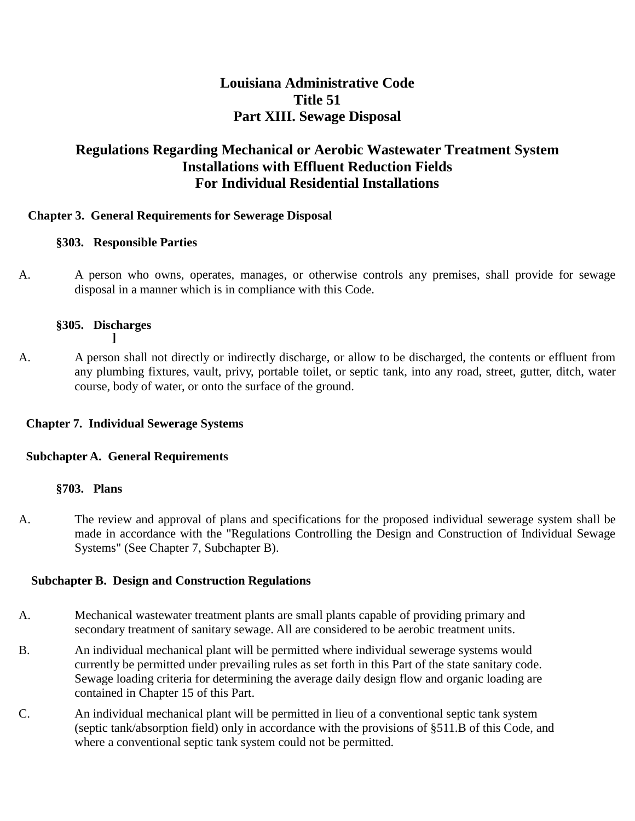# **Louisiana Administrative Code Title 51 Part XIII. Sewage Disposal**

# **Regulations Regarding Mechanical or Aerobic Wastewater Treatment System Installations with Effluent Reduction Fields For Individual Residential Installations**

### **Chapter 3. General Requirements for Sewerage Disposal**

### **§303. Responsible Parties**

A. A person who owns, operates, manages, or otherwise controls any premises, shall provide for sewage disposal in a manner which is in compliance with this Code.

## **§305. Discharges**

**]**

A. A person shall not directly or indirectly discharge, or allow to be discharged, the contents or effluent from any plumbing fixtures, vault, privy, portable toilet, or septic tank, into any road, street, gutter, ditch, water course, body of water, or onto the surface of the ground.

## **Chapter 7. Individual Sewerage Systems**

#### **Subchapter A. General Requirements**

#### **§703. Plans**

A. The review and approval of plans and specifications for the proposed individual sewerage system shall be made in accordance with the "Regulations Controlling the Design and Construction of Individual Sewage Systems" (See Chapter 7, Subchapter B).

## **Subchapter B. Design and Construction Regulations**

- A. Mechanical wastewater treatment plants are small plants capable of providing primary and secondary treatment of sanitary sewage. All are considered to be aerobic treatment units.
- B. An individual mechanical plant will be permitted where individual sewerage systems would currently be permitted under prevailing rules as set forth in this Part of the state sanitary code. Sewage loading criteria for determining the average daily design flow and organic loading are contained in Chapter 15 of this Part.
- C. An individual mechanical plant will be permitted in lieu of a conventional septic tank system (septic tank/absorption field) only in accordance with the provisions of §511.B of this Code, and where a conventional septic tank system could not be permitted.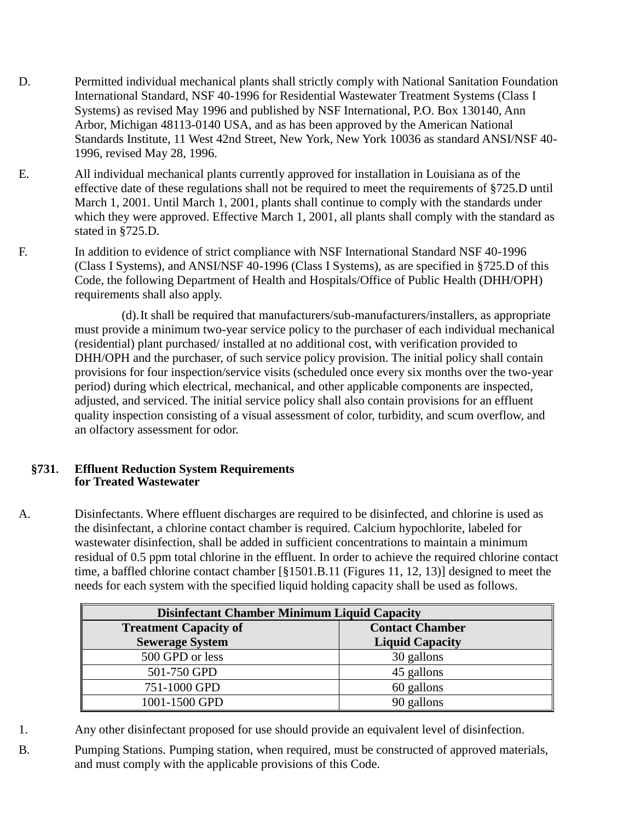- D. Permitted individual mechanical plants shall strictly comply with National Sanitation Foundation International Standard, NSF 40-1996 for Residential Wastewater Treatment Systems (Class I Systems) as revised May 1996 and published by NSF International, P.O. Box 130140, Ann Arbor, Michigan 48113-0140 USA, and as has been approved by the American National Standards Institute, 11 West 42nd Street, New York, New York 10036 as standard ANSI/NSF 40- 1996, revised May 28, 1996.
- E. All individual mechanical plants currently approved for installation in Louisiana as of the effective date of these regulations shall not be required to meet the requirements of §725.D until March 1, 2001. Until March 1, 2001, plants shall continue to comply with the standards under which they were approved. Effective March 1, 2001, all plants shall comply with the standard as stated in §725.D.
- F. In addition to evidence of strict compliance with NSF International Standard NSF 40-1996 (Class I Systems), and ANSI/NSF 40-1996 (Class I Systems), as are specified in §725.D of this Code, the following Department of Health and Hospitals/Office of Public Health (DHH/OPH) requirements shall also apply.

(d).It shall be required that manufacturers/sub-manufacturers/installers, as appropriate must provide a minimum two-year service policy to the purchaser of each individual mechanical (residential) plant purchased/ installed at no additional cost, with verification provided to DHH/OPH and the purchaser, of such service policy provision. The initial policy shall contain provisions for four inspection/service visits (scheduled once every six months over the two-year period) during which electrical, mechanical, and other applicable components are inspected, adjusted, and serviced. The initial service policy shall also contain provisions for an effluent quality inspection consisting of a visual assessment of color, turbidity, and scum overflow, and an olfactory assessment for odor.

#### **§731. Effluent Reduction System Requirements for Treated Wastewater**

A. Disinfectants. Where effluent discharges are required to be disinfected, and chlorine is used as the disinfectant, a chlorine contact chamber is required. Calcium hypochlorite, labeled for wastewater disinfection, shall be added in sufficient concentrations to maintain a minimum residual of 0.5 ppm total chlorine in the effluent. In order to achieve the required chlorine contact time, a baffled chlorine contact chamber [§1501.B.11 (Figures 11, 12, 13)] designed to meet the needs for each system with the specified liquid holding capacity shall be used as follows.

| <b>Disinfectant Chamber Minimum Liquid Capacity</b> |                        |
|-----------------------------------------------------|------------------------|
| <b>Treatment Capacity of</b>                        | <b>Contact Chamber</b> |
| <b>Sewerage System</b>                              | <b>Liquid Capacity</b> |
| 500 GPD or less                                     | 30 gallons             |
| 501-750 GPD                                         | 45 gallons             |
| 751-1000 GPD                                        | 60 gallons             |
| 1001-1500 GPD                                       | 90 gallons             |

- 1. Any other disinfectant proposed for use should provide an equivalent level of disinfection.
- B. Pumping Stations. Pumping station, when required, must be constructed of approved materials, and must comply with the applicable provisions of this Code.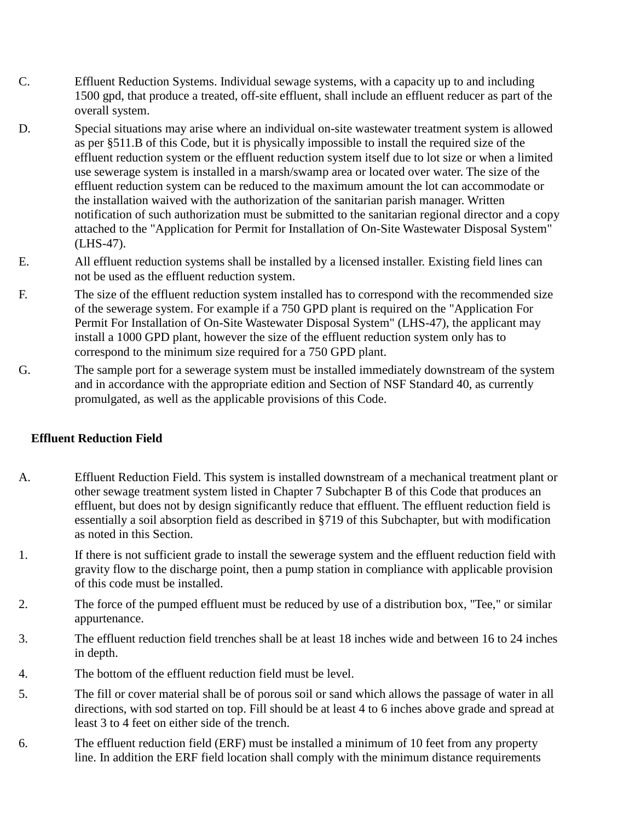- C. Effluent Reduction Systems. Individual sewage systems, with a capacity up to and including 1500 gpd, that produce a treated, off-site effluent, shall include an effluent reducer as part of the overall system.
- D. Special situations may arise where an individual on-site wastewater treatment system is allowed as per §511.B of this Code, but it is physically impossible to install the required size of the effluent reduction system or the effluent reduction system itself due to lot size or when a limited use sewerage system is installed in a marsh/swamp area or located over water. The size of the effluent reduction system can be reduced to the maximum amount the lot can accommodate or the installation waived with the authorization of the sanitarian parish manager. Written notification of such authorization must be submitted to the sanitarian regional director and a copy attached to the "Application for Permit for Installation of On-Site Wastewater Disposal System" (LHS-47).
- E. All effluent reduction systems shall be installed by a licensed installer. Existing field lines can not be used as the effluent reduction system.
- F. The size of the effluent reduction system installed has to correspond with the recommended size of the sewerage system. For example if a 750 GPD plant is required on the "Application For Permit For Installation of On-Site Wastewater Disposal System" (LHS-47), the applicant may install a 1000 GPD plant, however the size of the effluent reduction system only has to correspond to the minimum size required for a 750 GPD plant.
- G. The sample port for a sewerage system must be installed immediately downstream of the system and in accordance with the appropriate edition and Section of NSF Standard 40, as currently promulgated, as well as the applicable provisions of this Code.

## **Effluent Reduction Field**

- A. Effluent Reduction Field. This system is installed downstream of a mechanical treatment plant or other sewage treatment system listed in Chapter 7 Subchapter B of this Code that produces an effluent, but does not by design significantly reduce that effluent. The effluent reduction field is essentially a soil absorption field as described in §719 of this Subchapter, but with modification as noted in this Section.
- 1. If there is not sufficient grade to install the sewerage system and the effluent reduction field with gravity flow to the discharge point, then a pump station in compliance with applicable provision of this code must be installed.
- 2. The force of the pumped effluent must be reduced by use of a distribution box, "Tee," or similar appurtenance.
- 3. The effluent reduction field trenches shall be at least 18 inches wide and between 16 to 24 inches in depth.
- 4. The bottom of the effluent reduction field must be level.
- 5. The fill or cover material shall be of porous soil or sand which allows the passage of water in all directions, with sod started on top. Fill should be at least 4 to 6 inches above grade and spread at least 3 to 4 feet on either side of the trench.
- 6. The effluent reduction field (ERF) must be installed a minimum of 10 feet from any property line. In addition the ERF field location shall comply with the minimum distance requirements